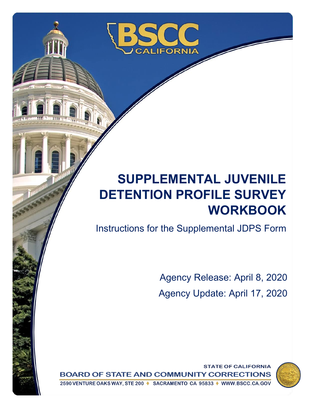

# **SUPPLEMENTAL JUVENILE DETENTION PROFILE SURVEY WORKBOOK**

Instructions for the Supplemental JDPS Form

Agency Release: April 8, 2020 Agency Update: April 17, 2020

**STATE OF CALIFORNIA BOARD OF STATE AND COMMUNITY CORRECTIONS** 2590 VENTURE OAKS WAY, STE 200 ♦ SACRAMENTO CA 95833 ♦ WWW.BSCC.CA.GOV

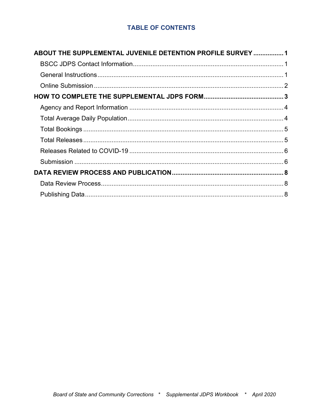# **TABLE OF CONTENTS**

| ABOUT THE SUPPLEMENTAL JUVENILE DETENTION PROFILE SURVEY 1 |  |
|------------------------------------------------------------|--|
|                                                            |  |
|                                                            |  |
|                                                            |  |
|                                                            |  |
|                                                            |  |
|                                                            |  |
|                                                            |  |
|                                                            |  |
|                                                            |  |
|                                                            |  |
|                                                            |  |
|                                                            |  |
|                                                            |  |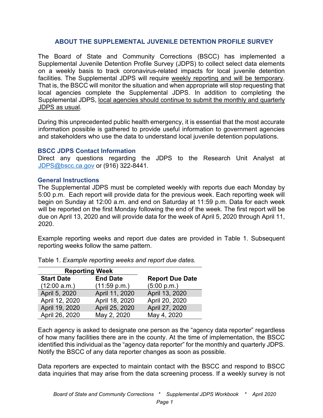## **ABOUT THE SUPPLEMENTAL JUVENILE DETENTION PROFILE SURVEY**

<span id="page-2-0"></span>The Board of State and Community Corrections (BSCC) has implemented a Supplemental Juvenile Detention Profile Survey (JDPS) to collect select data elements on a weekly basis to track coronavirus-related impacts for local juvenile detention facilities. The Supplemental JDPS will require weekly reporting and will be temporary. That is, the BSCC will monitor the situation and when appropriate will stop requesting that local agencies complete the Supplemental JDPS. In addition to completing the Supplemental JDPS, local agencies should continue to submit the monthly and quarterly JDPS as usual.

During this unprecedented public health emergency, it is essential that the most accurate information possible is gathered to provide useful information to government agencies and stakeholders who use the data to understand local juvenile detention populations.

## <span id="page-2-1"></span>**BSCC JDPS Contact Information**

Direct any questions regarding the JDPS to the Research Unit Analyst at [JDPS@bscc.ca.gov](mailto:JDPS@bscc.ca.gov) or (916) 322-8441.

## <span id="page-2-2"></span>**General Instructions**

The Supplemental JDPS must be completed weekly with reports due each Monday by 5:00 p.m. Each report will provide data for the previous week. Each reporting week will begin on Sunday at 12:00 a.m. and end on Saturday at 11:59 p.m. Data for each week will be reported on the first Monday following the end of the week. The first report will be due on April 13, 2020 and will provide data for the week of April 5, 2020 through April 11, 2020.

Example reporting weeks and report due dates are provided in Table 1. Subsequent reporting weeks follow the same pattern.

| <b>Reporting Week</b> |                 |                        |
|-----------------------|-----------------|------------------------|
| <b>Start Date</b>     | <b>End Date</b> | <b>Report Due Date</b> |
| (12:00 a.m.)          | (11:59 p.m.)    | (5:00 p.m.)            |
| April 5, 2020         | April 11, 2020  | April 13, 2020         |
| April 12, 2020        | April 18, 2020  | April 20, 2020         |
| April 19, 2020        | April 25, 2020  | April 27, 2020         |
| April 26, 2020        | May 2, 2020     | May 4, 2020            |

Table 1. *Example reporting weeks and report due dates.*

Each agency is asked to designate one person as the "agency data reporter" regardless of how many facilities there are in the county. At the time of implementation, the BSCC identified this individual as the "agency data reporter" for the monthly and quarterly JDPS. Notify the BSCC of any data reporter changes as soon as possible.

Data reporters are expected to maintain contact with the BSCC and respond to BSCC data inquiries that may arise from the data screening process. If a weekly survey is not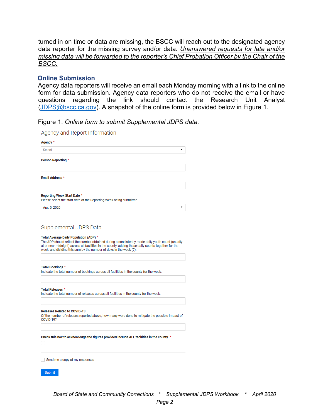turned in on time or data are missing, the BSCC will reach out to the designated agency data reporter for the missing survey and/or data*. Unanswered requests for late and/or missing data will be forwarded to the reporter's Chief Probation Officer by the Chair of the BSCC.*

#### <span id="page-3-0"></span>**Online Submission**

Agency data reporters will receive an email each Monday morning with a link to the online form for data submission. Agency data reporters who do not receive the email or have questions regarding the link should contact the Research Unit Analyst [\(JDPS@bscc.ca.gov\)](mailto:JDPS@bscc.ca.gov). A snapshot of the online form is provided below in Figure 1.

#### Figure 1. *Online form to submit Supplemental JDPS data.*

Agency and Report Information

| <b>Person Reporting *</b>                        |                                                                                                                                                                                                                                                                                |
|--------------------------------------------------|--------------------------------------------------------------------------------------------------------------------------------------------------------------------------------------------------------------------------------------------------------------------------------|
| <b>Email Address *</b>                           |                                                                                                                                                                                                                                                                                |
| Reporting Week Start Date *                      | Please select the start date of the Reporting Week being submitted.                                                                                                                                                                                                            |
| Apr. 5, 2020                                     |                                                                                                                                                                                                                                                                                |
| Supplemental JDPS Data                           |                                                                                                                                                                                                                                                                                |
| Total Average Daily Population (ADP) *           | The ADP should reflect the number obtained during a consistently made daily youth count (usually<br>at or near midnight) across all facilities in the county, adding these daily counts together for the<br>week, and dividing this sum by the number of days in the week (7). |
| Total Bookings *                                 | Indicate the total number of bookings across all facilities in the county for the week.                                                                                                                                                                                        |
| <b>Total Releases *</b>                          | Indicate the total number of releases across all facilities in the county for the week.                                                                                                                                                                                        |
| <b>Releases Related to COVID-19</b><br>COVID-19? | Of the number of releases reported above, how many were done to mitigate the possible impact of                                                                                                                                                                                |
|                                                  |                                                                                                                                                                                                                                                                                |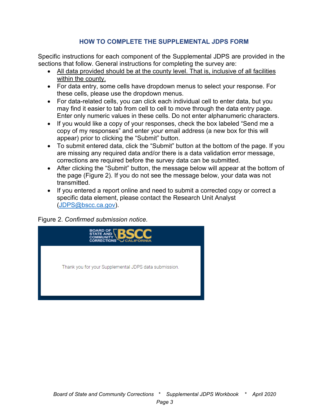# **HOW TO COMPLETE THE SUPPLEMENTAL JDPS FORM**

<span id="page-4-0"></span>Specific instructions for each component of the Supplemental JDPS are provided in the sections that follow. General instructions for completing the survey are:

- All data provided should be at the county level. That is, inclusive of all facilities within the county.
- For data entry, some cells have dropdown menus to select your response. For these cells, please use the dropdown menus.
- For data-related cells, you can click each individual cell to enter data, but you may find it easier to tab from cell to cell to move through the data entry page. Enter only numeric values in these cells. Do not enter alphanumeric characters.
- If you would like a copy of your responses, check the box labeled "Send me a copy of my responses" and enter your email address (a new box for this will appear) prior to clicking the "Submit" button.
- To submit entered data, click the "Submit" button at the bottom of the page. If you are missing any required data and/or there is a data validation error message, corrections are required before the survey data can be submitted.
- After clicking the "Submit" button, the message below will appear at the bottom of the page (Figure 2). If you do not see the message below, your data was not transmitted.
- If you entered a report online and need to submit a corrected copy or correct a specific data element, please contact the Research Unit Analyst [\(JDPS@bscc.ca.gov\)](mailto:JPS@bscc.ca.gov).

Figure 2. *Confirmed submission notice.*

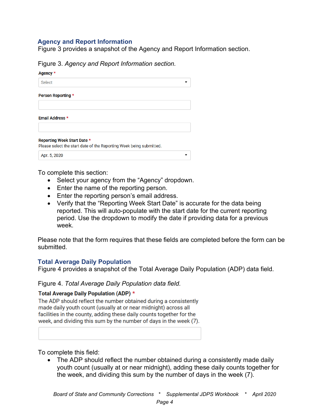## <span id="page-5-0"></span>**Agency and Report Information**

Figure 3 provides a snapshot of the Agency and Report Information section.

Figure 3. *Agency and Report Information section.* 

| Agency *                                                                                           |  |
|----------------------------------------------------------------------------------------------------|--|
| <b>Select</b>                                                                                      |  |
| <b>Person Reporting *</b>                                                                          |  |
| <b>Email Address *</b>                                                                             |  |
| Reporting Week Start Date *<br>Please select the start date of the Reporting Week being submitted. |  |
| Apr. 5, 2020                                                                                       |  |

To complete this section:

- Select your agency from the "Agency" dropdown.
- Enter the name of the reporting person.
- Enter the reporting person's email address.
- Verify that the "Reporting Week Start Date" is accurate for the data being reported. This will auto-populate with the start date for the current reporting period. Use the dropdown to modify the date if providing data for a previous week.

Please note that the form requires that these fields are completed before the form can be submitted.

#### <span id="page-5-1"></span>**Total Average Daily Population**

Figure 4 provides a snapshot of the Total Average Daily Population (ADP) data field.

#### Figure 4. *Total Average Daily Population data field.*

#### Total Average Daily Population (ADP) \*

The ADP should reflect the number obtained during a consistently made daily youth count (usually at or near midnight) across all facilities in the county, adding these daily counts together for the week, and dividing this sum by the number of days in the week (7).

To complete this field:

• The ADP should reflect the number obtained during a consistently made daily youth count (usually at or near midnight), adding these daily counts together for the week, and dividing this sum by the number of days in the week (7).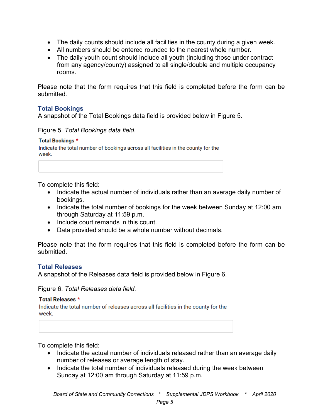- The daily counts should include all facilities in the county during a given week.
- All numbers should be entered rounded to the nearest whole number.
- The daily youth count should include all youth (including those under contract from any agency/county) assigned to all single/double and multiple occupancy rooms.

Please note that the form requires that this field is completed before the form can be submitted.

## <span id="page-6-0"></span>**Total Bookings**

A snapshot of the Total Bookings data field is provided below in Figure 5.

## Figure 5. *Total Bookings data field.*

#### **Total Bookings \***

Indicate the total number of bookings across all facilities in the county for the week.

To complete this field:

- Indicate the actual number of individuals rather than an average daily number of bookings.
- Indicate the total number of bookings for the week between Sunday at 12:00 am through Saturday at 11:59 p.m.
- Include court remands in this count.
- Data provided should be a whole number without decimals.

Please note that the form requires that this field is completed before the form can be submitted.

## <span id="page-6-1"></span>**Total Releases**

A snapshot of the Releases data field is provided below in Figure 6.

Figure 6. *Total Releases data field.*

#### **Total Releases \***

Indicate the total number of releases across all facilities in the county for the week.

To complete this field:

- Indicate the actual number of individuals released rather than an average daily number of releases or average length of stay.
- Indicate the total number of individuals released during the week between Sunday at 12:00 am through Saturday at 11:59 p.m.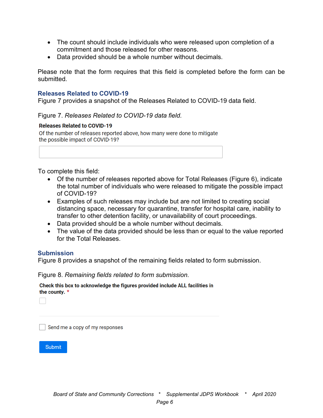- The count should include individuals who were released upon completion of a commitment and those released for other reasons.
- Data provided should be a whole number without decimals.

Please note that the form requires that this field is completed before the form can be submitted.

#### <span id="page-7-0"></span>**Releases Related to COVID-19**

Figure 7 provides a snapshot of the Releases Related to COVID-19 data field.

#### Figure 7. *Releases Related to COVID-19 data field.*

#### **Releases Related to COVID-19**

Of the number of releases reported above, how many were done to mitigate the possible impact of COVID-19?

To complete this field:

- Of the number of releases reported above for Total Releases (Figure 6), indicate the total number of individuals who were released to mitigate the possible impact of COVID-19?
- Examples of such releases may include but are not limited to creating social distancing space, necessary for quarantine, transfer for hospital care, inability to transfer to other detention facility, or unavailability of court proceedings.
- Data provided should be a whole number without decimals.
- The value of the data provided should be less than or equal to the value reported for the Total Releases.

#### <span id="page-7-1"></span>**Submission**

Figure 8 provides a snapshot of the remaining fields related to form submission.

Figure 8. *Remaining fields related to form submission.* 

Check this box to acknowledge the figures provided include ALL facilities in the county. \*

Send me a copy of my responses

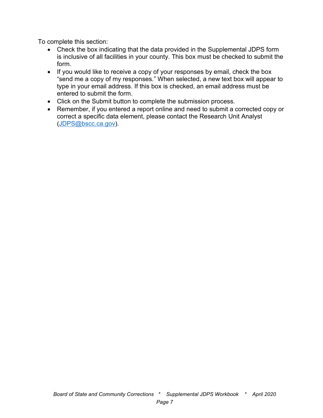To complete this section:

- Check the box indicating that the data provided in the Supplemental JDPS form is inclusive of all facilities in your county. This box must be checked to submit the form.
- If you would like to receive a copy of your responses by email, check the box "send me a copy of my responses." When selected, a new text box will appear to type in your email address. If this box is checked, an email address must be entered to submit the form.
- Click on the Submit button to complete the submission process.
- Remember, if you entered a report online and need to submit a corrected copy or correct a specific data element, please contact the Research Unit Analyst [\(JDPS@bscc.ca.gov\)](mailto:JPS@bscc.ca.gov).